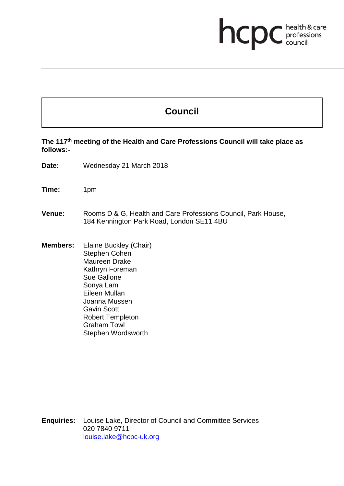# **health & care**

# **Council**

**The 117th meeting of the Health and Care Professions Council will take place as follows:-**

**Date:** Wednesday 21 March 2018

**Time:** 1pm

- **Venue:** Rooms D & G, Health and Care Professions Council, Park House, 184 Kennington Park Road, London SE11 4BU
- **Members:** Elaine Buckley (Chair) Stephen Cohen Maureen Drake Kathryn Foreman Sue Gallone Sonya Lam Eileen Mullan Joanna Mussen Gavin Scott Robert Templeton Graham Towl Stephen Wordsworth

**Enquiries:** Louise Lake, Director of Council and Committee Services 020 7840 9711 louise.lake@hcpc-uk.org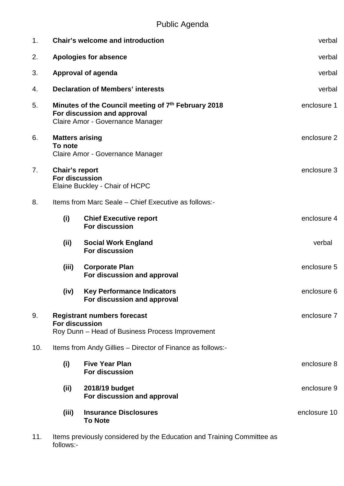| 1 <sub>1</sub> | <b>Chair's welcome and introduction</b>                                                                                | verbal                                                           |              |
|----------------|------------------------------------------------------------------------------------------------------------------------|------------------------------------------------------------------|--------------|
| 2.             | <b>Apologies for absence</b>                                                                                           | verbal                                                           |              |
| 3.             | <b>Approval of agenda</b>                                                                                              | verbal                                                           |              |
| 4.             | <b>Declaration of Members' interests</b>                                                                               | verbal                                                           |              |
| 5.             | Minutes of the Council meeting of 7th February 2018<br>For discussion and approval<br>Claire Amor - Governance Manager | enclosure 1                                                      |              |
| 6.             | <b>Matters arising</b><br>To note<br>Claire Amor - Governance Manager                                                  |                                                                  | enclosure 2  |
| 7.             | Chair's report<br><b>For discussion</b><br>Elaine Buckley - Chair of HCPC                                              |                                                                  | enclosure 3  |
| 8.             | Items from Marc Seale - Chief Executive as follows:-                                                                   |                                                                  |              |
|                | (i)                                                                                                                    | <b>Chief Executive report</b><br><b>For discussion</b>           | enclosure 4  |
|                | (ii)                                                                                                                   | <b>Social Work England</b><br><b>For discussion</b>              | verbal       |
|                | (iii)                                                                                                                  | <b>Corporate Plan</b><br>For discussion and approval             | enclosure 5  |
|                | (iv)                                                                                                                   | <b>Key Performance Indicators</b><br>For discussion and approval | enclosure 6  |
| 9.             | <b>Registrant numbers forecast</b><br><b>For discussion</b><br>Roy Dunn - Head of Business Process Improvement         |                                                                  | enclosure 7  |
| 10.            | Items from Andy Gillies – Director of Finance as follows:-                                                             |                                                                  |              |
|                | (i)                                                                                                                    | <b>Five Year Plan</b><br><b>For discussion</b>                   | enclosure 8  |
|                | (ii)                                                                                                                   | 2018/19 budget<br>For discussion and approval                    | enclosure 9  |
|                | (iii)                                                                                                                  | <b>Insurance Disclosures</b><br><b>To Note</b>                   | enclosure 10 |

11. Items previously considered by the Education and Training Committee as follows:-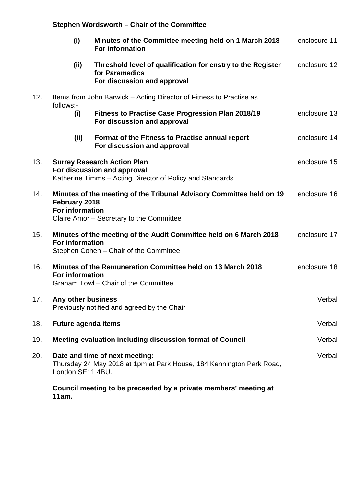### **Stephen Wordsworth – Chair of the Committee**

|     | (i)                                     | Minutes of the Committee meeting held on 1 March 2018<br><b>For information</b>                                                | enclosure 11 |
|-----|-----------------------------------------|--------------------------------------------------------------------------------------------------------------------------------|--------------|
|     | (ii)                                    | Threshold level of qualification for enstry to the Register<br>for Paramedics<br>For discussion and approval                   | enclosure 12 |
| 12. | follows:-                               | Items from John Barwick – Acting Director of Fitness to Practise as                                                            |              |
|     | (i)                                     | <b>Fitness to Practise Case Progression Plan 2018/19</b><br>For discussion and approval                                        | enclosure 13 |
|     | (ii)                                    | Format of the Fitness to Practise annual report<br>For discussion and approval                                                 | enclosure 14 |
| 13. |                                         | <b>Surrey Research Action Plan</b><br>For discussion and approval<br>Katherine Timms – Acting Director of Policy and Standards | enclosure 15 |
| 14. | February 2018<br><b>For information</b> | Minutes of the meeting of the Tribunal Advisory Committee held on 19<br>Claire Amor - Secretary to the Committee               | enclosure 16 |
| 15. | <b>For information</b>                  | Minutes of the meeting of the Audit Committee held on 6 March 2018<br>Stephen Cohen - Chair of the Committee                   | enclosure 17 |
| 16. | <b>For information</b>                  | Minutes of the Remuneration Committee held on 13 March 2018<br>Graham Towl - Chair of the Committee                            | enclosure 18 |
| 17. | Any other business                      | Previously notified and agreed by the Chair                                                                                    | Verbal       |
| 18. | <b>Future agenda items</b>              |                                                                                                                                | Verbal       |
| 19. |                                         | Meeting evaluation including discussion format of Council                                                                      | Verbal       |
| 20. | London SE11 4BU.                        | Date and time of next meeting:<br>Thursday 24 May 2018 at 1pm at Park House, 184 Kennington Park Road,                         | Verbal       |
|     | 11am.                                   | Council meeting to be preceeded by a private members' meeting at                                                               |              |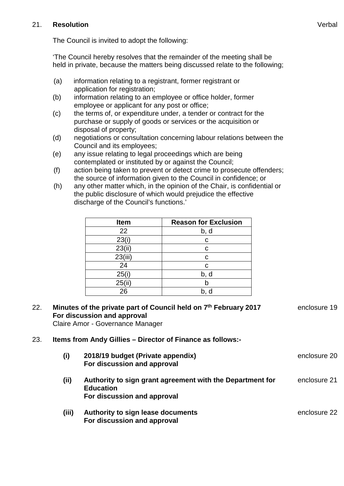#### 21. **Resolution**

The Council is invited to adopt the following:

'The Council hereby resolves that the remainder of the meeting shall be held in private, because the matters being discussed relate to the following;

- (a) information relating to a registrant, former registrant or application for registration;
- (b) information relating to an employee or office holder, former employee or applicant for any post or office;
- (c) the terms of, or expenditure under, a tender or contract for the purchase or supply of goods or services or the acquisition or disposal of property;
- (d) negotiations or consultation concerning labour relations between the Council and its employees;
- (e) any issue relating to legal proceedings which are being contemplated or instituted by or against the Council;
- (f) action being taken to prevent or detect crime to prosecute offenders; the source of information given to the Council in confidence; or
- (h) any other matter which, in the opinion of the Chair, is confidential or the public disclosure of which would prejudice the effective discharge of the Council's functions.'

| <b>Item</b> | <b>Reason for Exclusion</b> |
|-------------|-----------------------------|
| 22          | b, d                        |
| 23(i)       | С                           |
| 23(ii)      | С                           |
| 23(iii)     | С                           |
| 24          | С                           |
| 25(i)       | b, d                        |
| 25(ii)      |                             |
| 26          |                             |

## 22. **Minutes of the private part of Council held on 7th February 2017 For discussion and approval**

Claire Amor - Governance Manager

#### 23. **Items from Andy Gillies – Director of Finance as follows:-**

**For discussion and approval**

| (i)   | 2018/19 budget (Private appendix)<br>For discussion and approval                                             | enclosure 20 |
|-------|--------------------------------------------------------------------------------------------------------------|--------------|
| (ii)  | Authority to sign grant agreement with the Department for<br><b>Education</b><br>For discussion and approval | enclosure 21 |
| (iii) | Authority to sign lease documents                                                                            | enclosure 22 |

enclosure 19